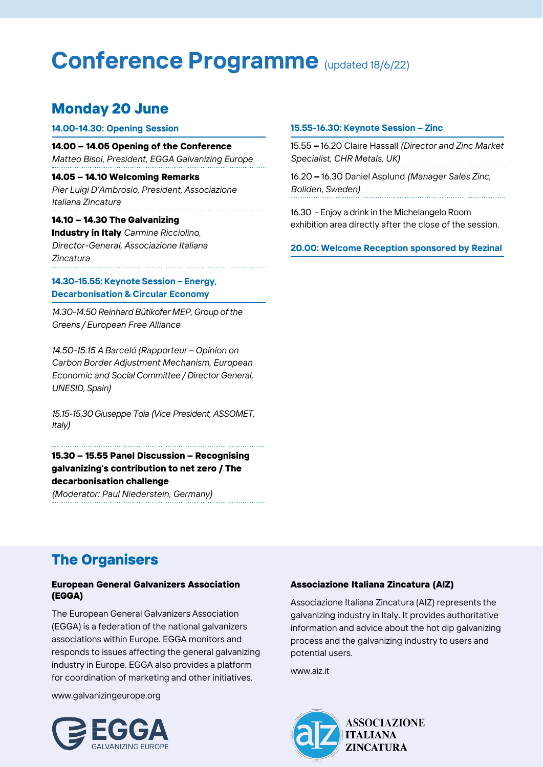# **Conference Programme** (updated 18/6/22)

# **Monday 20 June**

### **14.00-14.30: Opening Session**

**14.00 – 14.05 Opening of the Conference** *Matteo Bisol, President, EGGA Galvanizing Europe*

**14.05 – 14.10 Welcoming Remarks** *Pier Luigi D'Ambrosio, President, Associazione Italiana Zincatura*

# **14.10 – 14.30 The Galvanizing**

**Industry in Italy** *Carmine Ricciolino, Director-General, Associazione Italiana Zincatura*

# **14.30-15.55: Keynote Session – Energy, Decarbonisation & Circular Economy**

*14.30-14.50 Reinhard Bütikofer MEP, Group ofthe Greens / European Free Alliance*

*14.50-15.15 A Barceló (Rapporteur – Opinion on Carbon Border Adjustment Mechanism, European Economic and Social Committee / Director General, UNESID, Spain)*

*15.15-15.30 Giuseppe Toia (Vice President, ASSOMET, Italy)*

**15.30 – 15.55 Panel Discussion – Recognising galvanizing's contribution to net zero / The decarbonisation challenge**

*(Moderator: Paul Niederstein, Germany)*

### **15.55-16.30: Keynote Session – Zinc**

15.55 **–** 16.20 Claire Hassall *(Director and Zinc Market Specialist, CHR Metals, UK)*

16.20 **–** 16.30 Daniel Asplund *(Manager Sales Zinc, Boliden, Sweden)*

16.30 - Enjoy a drink in the Michelangelo Room exhibition area directly after the close of the session.

**20.00: Welcome Reception sponsored by Rezinal**

# **The Organisers**

### **European General Galvanizers Association (EGGA)**

The European General Galvanizers Association (EGGA) is a federation of the national galvanizers associations within Europe. EGGA monitors and responds to issues affecting the general galvanizing industry in Europe. EGGA also provides a platform for coordination of marketing and other initiatives.

[www.galvanizingeurope.org](http://www.galvanizingeurope.org/)



### **Associazione Italiana Zincatura (AIZ)**

Associazione Italiana Zincatura (AIZ) represents the galvanizing industry in Italy. It provides authoritative information and advice about the hot dip galvanizing process and the galvanizing industry to users and potential users.

[www.aiz.it](http://www.aiz.it/)

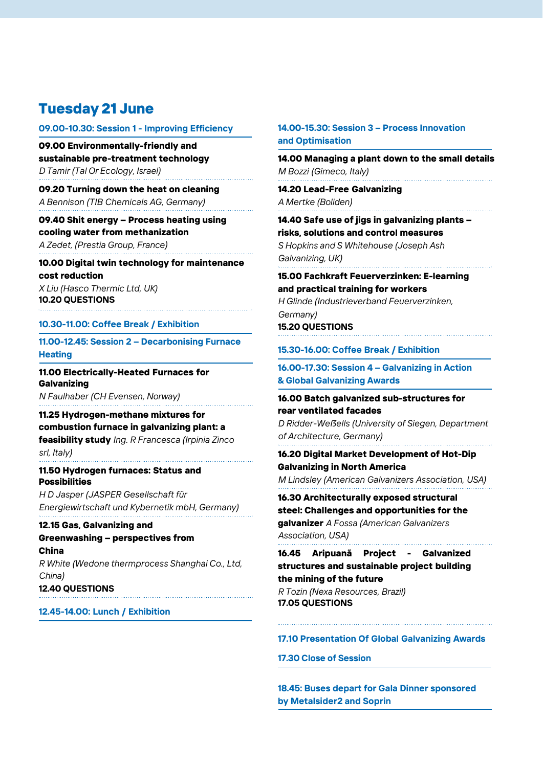# **Tuesday 21 June**

#### **09.00-10.30: Session 1 - Improving Efficiency**

**09.00 Environmentally-friendly and sustainable pre-treatment technology** *D Tamir (Tal Or Ecology, Israel)*

**09.20 Turning down the heat on cleaning** *A Bennison (TIB Chemicals AG, Germany)*

**09.40 Shit energy – Process heating using cooling water from methanization** *A Zedet, (Prestia Group, France)*

**10.00 Digital twin technology for maintenance cost reduction**

*X Liu (Hasco Thermic Ltd, UK)* **10.20 QUESTIONS**

#### **10.30-11.00: Coffee Break / Exhibition**

**11.00-12.45: Session 2 – Decarbonising Furnace Heating**

**11.00 Electrically-Heated Furnaces for Galvanizing** *N Faulhaber (CH Evensen, Norway)*

**11.25 Hydrogen-methane mixtures for combustion furnace in galvanizing plant: a feasibility study** *Ing. R Francesca (Irpinia Zinco srl, Italy)*

**11.50 Hydrogen furnaces: Status and Possibilities**

*H D Jasper (JASPER Gesellschaft für Energiewirtschaft und Kybernetik mbH, Germany)*

#### **12.15 Gas, Galvanizing and Greenwashing – perspectives from China**

*R White (Wedone thermprocess Shanghai Co., Ltd, China)* **12.40 QUESTIONS**

**12.45-14.00: Lunch / Exhibition**

# **14.00-15.30: Session 3 – Process Innovation and Optimisation**

**14.00 Managing a plant down to the small details** *M Bozzi (Gimeco, Italy)*

**14.20 Lead-Free Galvanizing** *A Mertke (Boliden)*

**14.40 Safe use of jigs in galvanizing plants – risks, solutions and control measures** *S Hopkins and S Whitehouse (Joseph Ash* 

*Galvanizing, UK)*

**15.00 Fachkraft Feuerverzinken: E-learning and practical training for workers** *H Glinde (Industrieverband Feuerverzinken, Germany)*

**15.20 QUESTIONS**

**15.30-16.00: Coffee Break / Exhibition**

**16.00-17.30: Session 4 – Galvanizing in Action & Global Galvanizing Awards**

**16.00 Batch galvanized sub-structures for rear ventilated facades**

*D Ridder-Weẞells (University of Siegen, Department of Architecture, Germany)*

**16.20 Digital Market Development of Hot-Dip Galvanizing in North America** *M Lindsley (American Galvanizers Association, USA)*

**16.30 Architecturally exposed structural steel: Challenges and opportunities for the galvanizer** *A Fossa (American Galvanizers* 

*Association, USA)*

**16.45 Aripuanã Project - Galvanized structures and sustainable project building the mining of the future** *R Tozin (Nexa Resources, Brazil)*

**17.05 QUESTIONS**

### **17.10 Presentation Of Global Galvanizing Awards**

**17.30 Close of Session**

**18.45: Buses depart for Gala Dinner sponsored by Metalsider2 and Soprin**